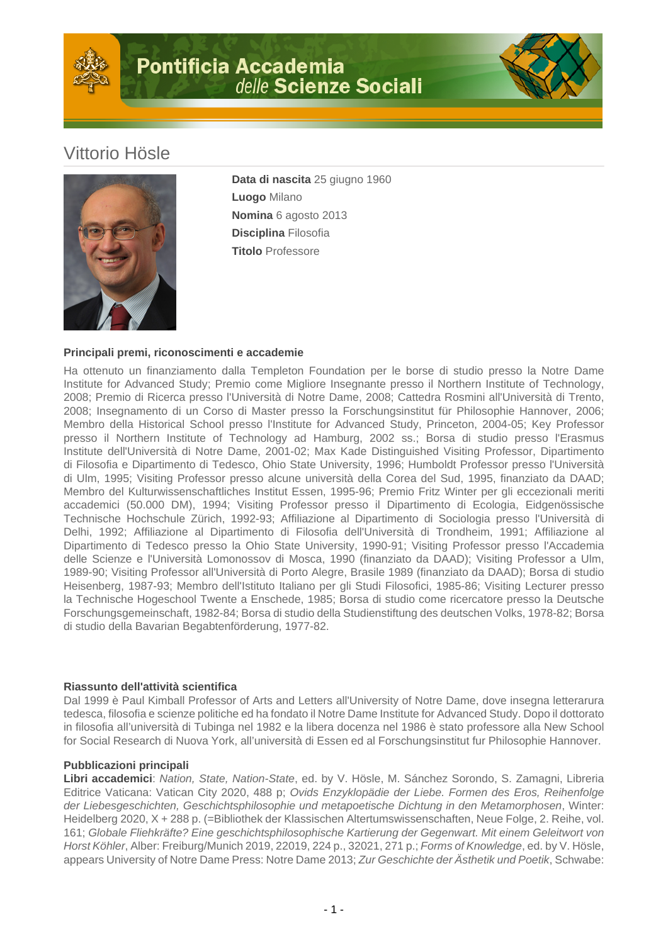

## Vittorio Hösle



**Data di nascita** 25 giugno 1960 **Luogo** Milano **Nomina** 6 agosto 2013 **Disciplina** Filosofia **Titolo** Professore

## **Principali premi, riconoscimenti e accademie**

Ha ottenuto un finanziamento dalla Templeton Foundation per le borse di studio presso la Notre Dame Institute for Advanced Study; Premio come Migliore Insegnante presso il Northern Institute of Technology, 2008; Premio di Ricerca presso l'Università di Notre Dame, 2008; Cattedra Rosmini all'Università di Trento, 2008; Insegnamento di un Corso di Master presso la Forschungsinstitut für Philosophie Hannover, 2006; Membro della Historical School presso l'Institute for Advanced Study, Princeton, 2004-05; Key Professor presso il Northern Institute of Technology ad Hamburg, 2002 ss.; Borsa di studio presso l'Erasmus Institute dell'Università di Notre Dame, 2001-02; Max Kade Distinguished Visiting Professor, Dipartimento di Filosofia e Dipartimento di Tedesco, Ohio State University, 1996; Humboldt Professor presso l'Università di Ulm, 1995; Visiting Professor presso alcune università della Corea del Sud, 1995, finanziato da DAAD; Membro del Kulturwissenschaftliches Institut Essen, 1995-96; Premio Fritz Winter per gli eccezionali meriti accademici (50.000 DM), 1994; Visiting Professor presso il Dipartimento di Ecologia, Eidgenössische Technische Hochschule Zürich, 1992-93; Affiliazione al Dipartimento di Sociologia presso l'Università di Delhi, 1992; Affiliazione al Dipartimento di Filosofia dell'Università di Trondheim, 1991; Affiliazione al Dipartimento di Tedesco presso la Ohio State University, 1990-91; Visiting Professor presso l'Accademia delle Scienze e l'Università Lomonossov di Mosca, 1990 (finanziato da DAAD); Visiting Professor a Ulm, 1989-90; Visiting Professor all'Università di Porto Alegre, Brasile 1989 (finanziato da DAAD); Borsa di studio Heisenberg, 1987-93; Membro dell'Istituto Italiano per gli Studi Filosofici, 1985-86; Visiting Lecturer presso la Technische Hogeschool Twente a Enschede, 1985; Borsa di studio come ricercatore presso la Deutsche Forschungsgemeinschaft, 1982-84; Borsa di studio della Studienstiftung des deutschen Volks, 1978-82; Borsa di studio della Bavarian Begabtenförderung, 1977-82.

## **Riassunto dell'attività scientifica**

Dal 1999 è Paul Kimball Professor of Arts and Letters all'University of Notre Dame, dove insegna letterarura tedesca, filosofia e scienze politiche ed ha fondato il Notre Dame Institute for Advanced Study. Dopo il dottorato in filosofia all'università di Tubinga nel 1982 e la libera docenza nel 1986 è stato professore alla New School for Social Research di Nuova York, all'università di Essen ed al Forschungsinstitut fur Philosophie Hannover.

## **Pubblicazioni principali**

**Libri accademici**: Nation, State, Nation-State, ed. by V. Hösle, M. Sánchez Sorondo, S. Zamagni, Libreria Editrice Vaticana: Vatican City 2020, 488 p; Ovids Enzyklopädie der Liebe. Formen des Eros, Reihenfolge der Liebesgeschichten, Geschichtsphilosophie und metapoetische Dichtung in den Metamorphosen, Winter: Heidelberg 2020, X + 288 p. (=Bibliothek der Klassischen Altertumswissenschaften, Neue Folge, 2. Reihe, vol. 161; Globale Fliehkräfte? Eine geschichtsphilosophische Kartierung der Gegenwart. Mit einem Geleitwort von Horst Köhler, Alber: Freiburg/Munich 2019, 22019, 224 p., 32021, 271 p.; Forms of Knowledge, ed. by V. Hösle, appears University of Notre Dame Press: Notre Dame 2013; Zur Geschichte der Ästhetik und Poetik, Schwabe: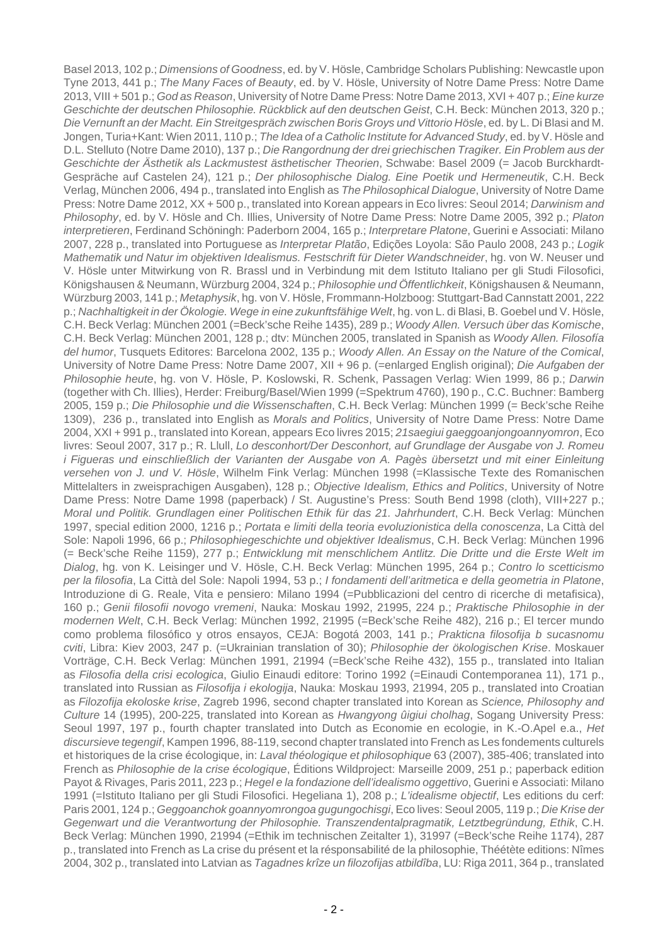Basel 2013, 102 p.; Dimensions of Goodness, ed. by V. Hösle, Cambridge Scholars Publishing: Newcastle upon Tyne 2013, 441 p.; The Many Faces of Beauty, ed. by V. Hösle, University of Notre Dame Press: Notre Dame 2013, VIII + 501 p.; God as Reason, University of Notre Dame Press: Notre Dame 2013, XVI + 407 p.; Eine kurze Geschichte der deutschen Philosophie. Rückblick auf den deutschen Geist, C.H. Beck: München 2013, 320 p.; Die Vernunft an der Macht. Ein Streitgespräch zwischen Boris Groys und Vittorio Hösle, ed. by L. Di Blasi and M. Jongen, Turia+Kant: Wien 2011, 110 p.; The Idea of a Catholic Institute for Advanced Study, ed. by V. Hösle and D.L. Stelluto (Notre Dame 2010), 137 p.; Die Rangordnung der drei griechischen Tragiker. Ein Problem aus der Geschichte der Ästhetik als Lackmustest ästhetischer Theorien, Schwabe: Basel 2009 (= Jacob Burckhardt-Gespräche auf Castelen 24), 121 p.; Der philosophische Dialog. Eine Poetik und Hermeneutik, C.H. Beck Verlag, München 2006, 494 p., translated into English as The Philosophical Dialogue, University of Notre Dame Press: Notre Dame 2012, XX + 500 p., translated into Korean appears in Eco livres: Seoul 2014; Darwinism and Philosophy, ed. by V. Hösle and Ch. Illies, University of Notre Dame Press: Notre Dame 2005, 392 p.; Platon interpretieren, Ferdinand Schöningh: Paderborn 2004, 165 p.; Interpretare Platone, Guerini e Associati: Milano 2007, 228 p., translated into Portuguese as Interpretar Platão, Edições Loyola: São Paulo 2008, 243 p.; Logik Mathematik und Natur im objektiven Idealismus. Festschrift für Dieter Wandschneider, hg. von W. Neuser und V. Hösle unter Mitwirkung von R. Brassl und in Verbindung mit dem Istituto Italiano per gli Studi Filosofici, Königshausen & Neumann, Würzburg 2004, 324 p.; Philosophie und Öffentlichkeit, Königshausen & Neumann, Würzburg 2003, 141 p.; Metaphysik, hg. von V. Hösle, Frommann-Holzboog: Stuttgart-Bad Cannstatt 2001, 222 p.; Nachhaltigkeit in der Ökologie. Wege in eine zukunftsfähige Welt, hg. von L. di Blasi, B. Goebel und V. Hösle, C.H. Beck Verlag: München 2001 (=Beck'sche Reihe 1435), 289 p.; Woody Allen. Versuch über das Komische, C.H. Beck Verlag: München 2001, 128 p.; dtv: München 2005, translated in Spanish as Woody Allen. Filosofía del humor, Tusquets Editores: Barcelona 2002, 135 p.; Woody Allen. An Essay on the Nature of the Comical, University of Notre Dame Press: Notre Dame 2007, XII + 96 p. (=enlarged English original); Die Aufgaben der Philosophie heute, hg. von V. Hösle, P. Koslowski, R. Schenk, Passagen Verlag: Wien 1999, 86 p.; Darwin (together with Ch. Illies), Herder: Freiburg/Basel/Wien 1999 (=Spektrum 4760), 190 p., C.C. Buchner: Bamberg 2005, 159 p.; Die Philosophie und die Wissenschaften, C.H. Beck Verlag: München 1999 (= Beck'sche Reihe 1309), 236 p., translated into English as Morals and Politics, University of Notre Dame Press: Notre Dame 2004, XXI + 991 p., translated into Korean, appears Eco livres 2015; 21saegiui gaeggoanjongoannyomron, Eco livres: Seoul 2007, 317 p.; R. Llull, Lo desconhort/Der Desconhort, auf Grundlage der Ausgabe von J. Romeu i Figueras und einschließlich der Varianten der Ausgabe von A. Pagès übersetzt und mit einer Einleitung versehen von J. und V. Hösle, Wilhelm Fink Verlag: München 1998 (=Klassische Texte des Romanischen Mittelalters in zweisprachigen Ausgaben), 128 p.; Objective Idealism, Ethics and Politics, University of Notre Dame Press: Notre Dame 1998 (paperback) / St. Augustine's Press: South Bend 1998 (cloth), VIII+227 p.; Moral und Politik. Grundlagen einer Politischen Ethik für das 21. Jahrhundert, C.H. Beck Verlag: München 1997, special edition 2000, 1216 p.; Portata e limiti della teoria evoluzionistica della conoscenza, La Città del Sole: Napoli 1996, 66 p.; Philosophiegeschichte und objektiver Idealismus, C.H. Beck Verlag: München 1996 (= Beck'sche Reihe 1159), 277 p.; Entwicklung mit menschlichem Antlitz. Die Dritte und die Erste Welt im Dialog, hg. von K. Leisinger und V. Hösle, C.H. Beck Verlag: München 1995, 264 p.; Contro lo scetticismo per la filosofia, La Città del Sole: Napoli 1994, 53 p.; I fondamenti dell'aritmetica e della geometria in Platone, Introduzione di G. Reale, Vita e pensiero: Milano 1994 (=Pubblicazioni del centro di ricerche di metafisica), 160 p.; Genii filosofii novogo vremeni, Nauka: Moskau 1992, 21995, 224 p.; Praktische Philosophie in der modernen Welt, C.H. Beck Verlag: München 1992, 21995 (=Beck'sche Reihe 482), 216 p.; El tercer mundo como problema filosófico y otros ensayos, CEJA: Bogotá 2003, 141 p.; Prakticna filosofija b sucasnomu cviti, Libra: Kiev 2003, 247 p. (=Ukrainian translation of 30); Philosophie der ökologischen Krise. Moskauer Vorträge, C.H. Beck Verlag: München 1991, 21994 (=Beck'sche Reihe 432), 155 p., translated into Italian as Filosofia della crisi ecologica, Giulio Einaudi editore: Torino 1992 (=Einaudi Contemporanea 11), 171 p., translated into Russian as Filosofija i ekologija, Nauka: Moskau 1993, 21994, 205 p., translated into Croatian as Filozofija ekoloske krise, Zagreb 1996, second chapter translated into Korean as Science, Philosophy and Culture 14 (1995), 200-225, translated into Korean as Hwangyong ûigiui cholhag, Sogang University Press: Seoul 1997, 197 p., fourth chapter translated into Dutch as Economie en ecologie, in K.-O.Apel e.a., Het discursieve tegengif, Kampen 1996, 88-119, second chapter translated into French as Les fondements culturels et historiques de la crise écologique, in: Laval théologique et philosophique 63 (2007), 385-406; translated into French as Philosophie de la crise écologique, Éditions Wildproject: Marseille 2009, 251 p.; paperback edition Payot & Rivages, Paris 2011, 223 p.; Hegel e la fondazione dell'idealismo oggettivo, Guerini e Associati: Milano 1991 (=Istituto Italiano per gli Studi Filosofici. Hegeliana 1), 208 p.; L'idealisme objectif, Les editions du cerf: Paris 2001, 124 p.; Geggoanchok goannyomrongoa gugungochisgi, Eco lives: Seoul 2005, 119 p.; Die Krise der Gegenwart und die Verantwortung der Philosophie. Transzendentalpragmatik, Letztbegründung, Ethik, C.H. Beck Verlag: München 1990, 21994 (=Ethik im technischen Zeitalter 1), 31997 (=Beck'sche Reihe 1174), 287 p., translated into French as La crise du présent et la résponsabilité de la philosophie, Théétète editions: Nîmes 2004, 302 p., translated into Latvian as Tagadnes krîze un filozofijas atbildîba, LU: Riga 2011, 364 p., translated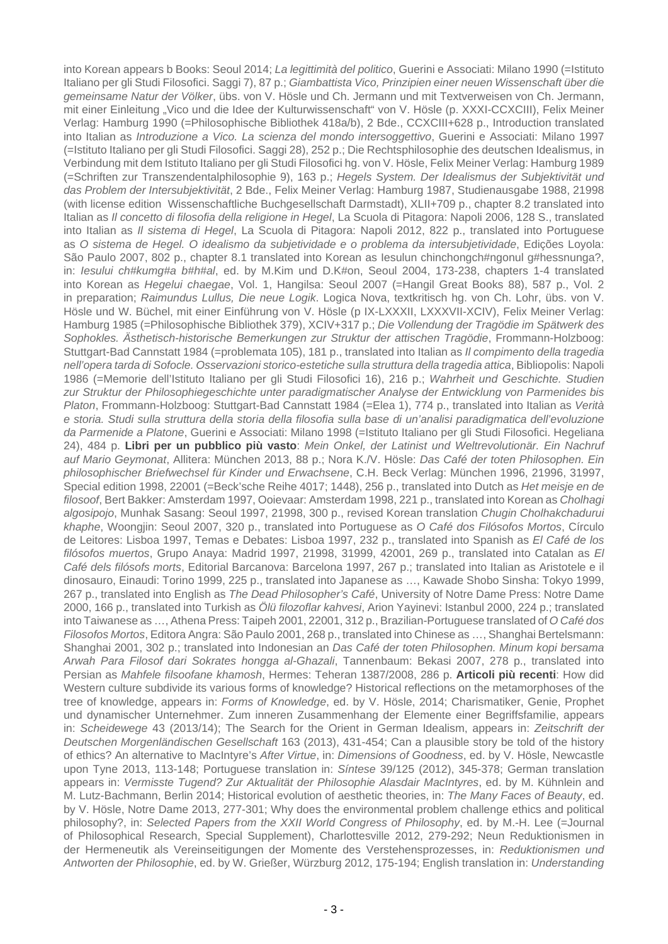into Korean appears b Books: Seoul 2014; La legittimità del politico, Guerini e Associati: Milano 1990 (=Istituto Italiano per gli Studi Filosofici. Saggi 7), 87 p.; Giambattista Vico, Prinzipien einer neuen Wissenschaft über die gemeinsame Natur der Völker, übs. von V. Hösle und Ch. Jermann und mit Textverweisen von Ch. Jermann, mit einer Einleitung "Vico und die Idee der Kulturwissenschaft" von V. Hösle (p. XXXI-CCXCIII), Felix Meiner Verlag: Hamburg 1990 (=Philosophische Bibliothek 418a/b), 2 Bde., CCXCIII+628 p., Introduction translated into Italian as Introduzione a Vico. La scienza del mondo intersoggettivo, Guerini e Associati: Milano 1997 (=Istituto Italiano per gli Studi Filosofici. Saggi 28), 252 p.; Die Rechtsphilosophie des deutschen Idealismus, in Verbindung mit dem Istituto Italiano per gli Studi Filosofici hg. von V. Hösle, Felix Meiner Verlag: Hamburg 1989 (=Schriften zur Transzendentalphilosophie 9), 163 p.; Hegels System. Der Idealismus der Subjektivität und das Problem der Intersubjektivität, 2 Bde., Felix Meiner Verlag: Hamburg 1987, Studienausgabe 1988, 21998 (with license edition Wissenschaftliche Buchgesellschaft Darmstadt), XLII+709 p., chapter 8.2 translated into Italian as Il concetto di filosofia della religione in Hegel, La Scuola di Pitagora: Napoli 2006, 128 S., translated into Italian as Il sistema di Hegel, La Scuola di Pitagora: Napoli 2012, 822 p., translated into Portuguese as O sistema de Hegel. O idealismo da subjetividade e o problema da intersubjetividade, Edições Loyola: São Paulo 2007, 802 p., chapter 8.1 translated into Korean as Iesulun chinchongch#ngonul g#hessnunga?, in: *Iesului ch#kumg#a b#h#al*, ed. by M.Kim und D.K#on, Seoul 2004, 173-238, chapters 1-4 translated into Korean as Hegelui chaegae, Vol. 1, Hangilsa: Seoul 2007 (=Hangil Great Books 88), 587 p., Vol. 2 in preparation; Raimundus Lullus, Die neue Logik. Logica Nova, textkritisch hg. von Ch. Lohr, übs. von V. Hösle und W. Büchel, mit einer Einführung von V. Hösle (p IX-LXXXII, LXXXVII-XCIV), Felix Meiner Verlag: Hamburg 1985 (=Philosophische Bibliothek 379), XCIV+317 p.; Die Vollendung der Tragödie im Spätwerk des Sophokles. Ästhetisch-historische Bemerkungen zur Struktur der attischen Tragödie, Frommann-Holzboog: Stuttgart-Bad Cannstatt 1984 (=problemata 105), 181 p., translated into Italian as Il compimento della tragedia nell'opera tarda di Sofocle. Osservazioni storico-estetiche sulla struttura della tragedia attica, Bibliopolis: Napoli 1986 (=Memorie dell'Istituto Italiano per gli Studi Filosofici 16), 216 p.; Wahrheit und Geschichte. Studien zur Struktur der Philosophiegeschichte unter paradigmatischer Analyse der Entwicklung von Parmenides bis Platon, Frommann-Holzboog: Stuttgart-Bad Cannstatt 1984 (=Elea 1), 774 p., translated into Italian as Verità e storia. Studi sulla struttura della storia della filosofia sulla base di un'analisi paradigmatica dell'evoluzione da Parmenide a Platone, Guerini e Associati: Milano 1998 (=Istituto Italiano per gli Studi Filosofici. Hegeliana 24), 484 p. **Libri per un pubblico più vasto**: Mein Onkel, der Latinist und Weltrevolutionär. Ein Nachruf auf Mario Geymonat, Allitera: München 2013, 88 p.; Nora K./V. Hösle: Das Café der toten Philosophen. Ein philosophischer Briefwechsel für Kinder und Erwachsene, C.H. Beck Verlag: München 1996, 21996, 31997, Special edition 1998, 22001 (=Beck'sche Reihe 4017; 1448), 256 p., translated into Dutch as Het meisje en de filosoof, Bert Bakker: Amsterdam 1997, Ooievaar: Amsterdam 1998, 221 p., translated into Korean as Cholhagi algosipojo, Munhak Sasang: Seoul 1997, 21998, 300 p., revised Korean translation Chugin Cholhakchadurui khaphe, Woongjin: Seoul 2007, 320 p., translated into Portuguese as O Café dos Filósofos Mortos, Círculo de Leitores: Lisboa 1997, Temas e Debates: Lisboa 1997, 232 p., translated into Spanish as El Café de los filósofos muertos, Grupo Anaya: Madrid 1997, 21998, 31999, 42001, 269 p., translated into Catalan as El Café dels filósofs morts, Editorial Barcanova: Barcelona 1997, 267 p.; translated into Italian as Aristotele e il dinosauro, Einaudi: Torino 1999, 225 p., translated into Japanese as …, Kawade Shobo Sinsha: Tokyo 1999, 267 p., translated into English as The Dead Philosopher's Café, University of Notre Dame Press: Notre Dame 2000, 166 p., translated into Turkish as Ölü filozoflar kahvesi, Arion Yayinevi: Istanbul 2000, 224 p.; translated into Taiwanese as …, Athena Press: Taipeh 2001, 22001, 312 p., Brazilian-Portuguese translated of O Café dos Filosofos Mortos, Editora Angra: São Paulo 2001, 268 p., translated into Chinese as …, Shanghai Bertelsmann: Shanghai 2001, 302 p.; translated into Indonesian an Das Café der toten Philosophen. Minum kopi bersama Arwah Para Filosof dari Sokrates hongga al-Ghazali, Tannenbaum: Bekasi 2007, 278 p., translated into Persian as Mahfele filsoofane khamosh, Hermes: Teheran 1387/2008, 286 p. **Articoli più recenti**: How did Western culture subdivide its various forms of knowledge? Historical reflections on the metamorphoses of the tree of knowledge, appears in: Forms of Knowledge, ed. by V. Hösle, 2014; Charismatiker, Genie, Prophet und dynamischer Unternehmer. Zum inneren Zusammenhang der Elemente einer Begriffsfamilie, appears in: Scheidewege 43 (2013/14); The Search for the Orient in German Idealism, appears in: Zeitschrift der Deutschen Morgenländischen Gesellschaft 163 (2013), 431-454; Can a plausible story be told of the history of ethics? An alternative to MacIntyre's After Virtue, in: Dimensions of Goodness, ed. by V. Hösle, Newcastle upon Tyne 2013, 113-148; Portuguese translation in: Síntese 39/125 (2012), 345-378; German translation appears in: Vermisste Tugend? Zur Aktualität der Philosophie Alasdair MacIntyres, ed. by M. Kühnlein and M. Lutz-Bachmann, Berlin 2014; Historical evolution of aesthetic theories, in: The Many Faces of Beauty, ed. by V. Hösle, Notre Dame 2013, 277-301; Why does the environmental problem challenge ethics and political philosophy?, in: Selected Papers from the XXII World Congress of Philosophy, ed. by M.-H. Lee (=Journal of Philosophical Research, Special Supplement), Charlottesville 2012, 279-292; Neun Reduktionismen in der Hermeneutik als Vereinseitigungen der Momente des Verstehensprozesses, in: Reduktionismen und Antworten der Philosophie, ed. by W. Grießer, Würzburg 2012, 175-194; English translation in: Understanding